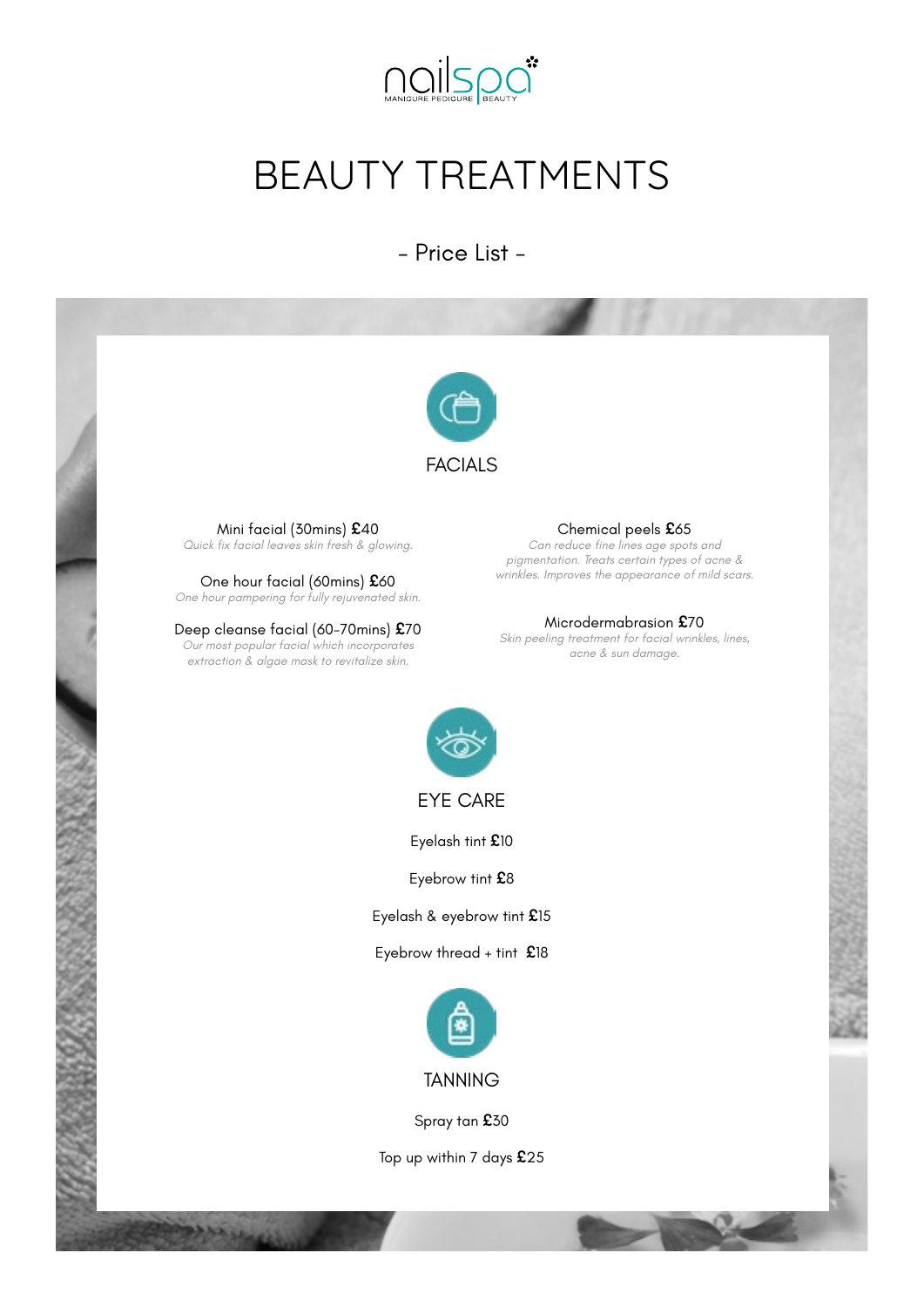

# BEAUTY TREATMENTS

- Price List -